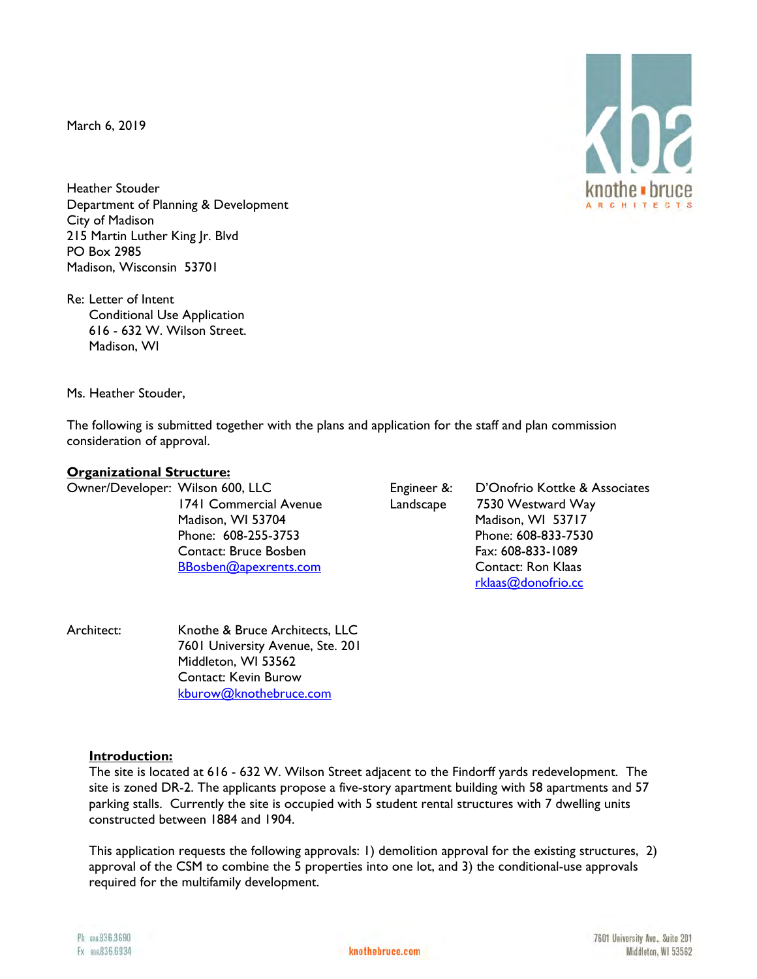March 6, 2019

Heather Stouder Department of Planning & Development City of Madison 215 Martin Luther King Jr. Blvd PO Box 2985 Madison, Wisconsin 53701

Re: Letter of Intent Conditional Use Application 616 - 632 W. Wilson Street. Madison, WI

Ms. Heather Stouder,

The following is submitted together with the plans and application for the staff and plan commission consideration of approval.

### **Organizational Structure:**

Owner/Developer: Wilson 600, LLC Engineer &: D'Onofrio Kottke & Associates 1741 Commercial Avenue Landscape 7530 Westward Way Madison, WI 53704 Madison, WI 53717 Phone: 608-255-3753 Phone: 608-833-7530 Contact: Bruce Bosben Fax: 608-833-1089 BBosben@apexrents.com Contact: Ron Klaas rklaas@donofrio.cc

Architect: Knothe & Bruce Architects, LLC 7601 University Avenue, Ste. 201 Middleton, WI 53562 Contact: Kevin Burow kburow@knothebruce.com

#### **Introduction:**

The site is located at 616 - 632 W. Wilson Street adjacent to the Findorff yards redevelopment. The site is zoned DR-2. The applicants propose a five-story apartment building with 58 apartments and 57 parking stalls. Currently the site is occupied with 5 student rental structures with 7 dwelling units constructed between 1884 and 1904.

This application requests the following approvals: 1) demolition approval for the existing structures, 2) approval of the CSM to combine the 5 properties into one lot, and 3) the conditional-use approvals required for the multifamily development.

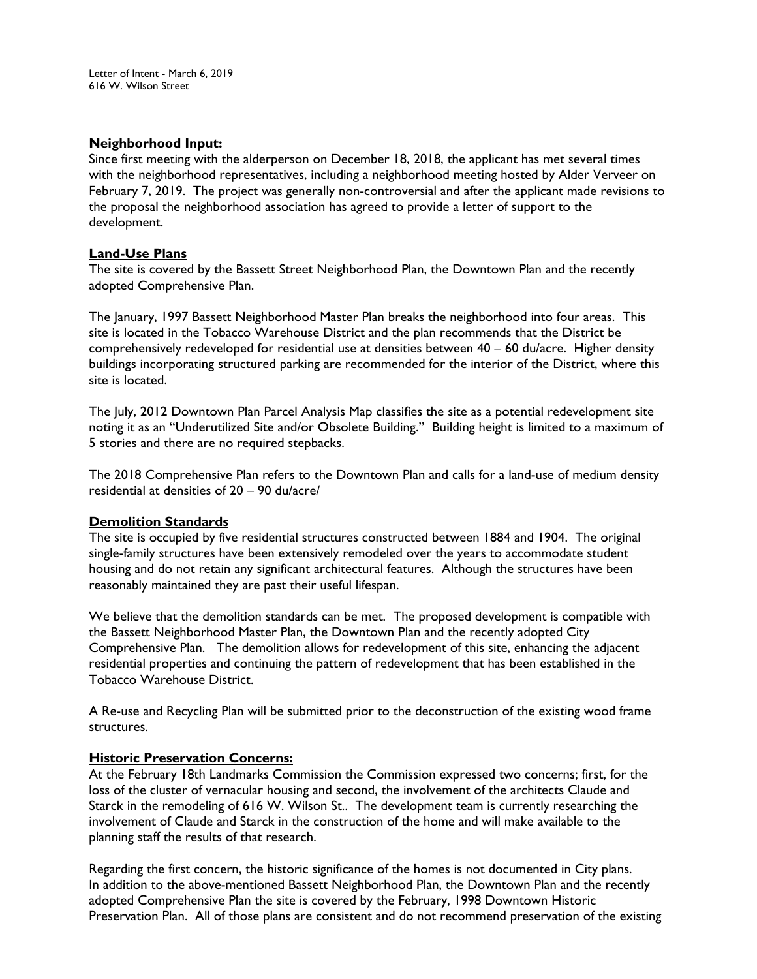### **Neighborhood Input:**

Since first meeting with the alderperson on December 18, 2018, the applicant has met several times with the neighborhood representatives, including a neighborhood meeting hosted by Alder Verveer on February 7, 2019. The project was generally non-controversial and after the applicant made revisions to the proposal the neighborhood association has agreed to provide a letter of support to the development.

## **Land-Use Plans**

The site is covered by the Bassett Street Neighborhood Plan, the Downtown Plan and the recently adopted Comprehensive Plan.

The January, 1997 Bassett Neighborhood Master Plan breaks the neighborhood into four areas. This site is located in the Tobacco Warehouse District and the plan recommends that the District be comprehensively redeveloped for residential use at densities between 40 – 60 du/acre. Higher density buildings incorporating structured parking are recommended for the interior of the District, where this site is located.

The July, 2012 Downtown Plan Parcel Analysis Map classifies the site as a potential redevelopment site noting it as an "Underutilized Site and/or Obsolete Building." Building height is limited to a maximum of 5 stories and there are no required stepbacks.

The 2018 Comprehensive Plan refers to the Downtown Plan and calls for a land-use of medium density residential at densities of 20 – 90 du/acre/

### **Demolition Standards**

The site is occupied by five residential structures constructed between 1884 and 1904. The original single-family structures have been extensively remodeled over the years to accommodate student housing and do not retain any significant architectural features. Although the structures have been reasonably maintained they are past their useful lifespan.

We believe that the demolition standards can be met. The proposed development is compatible with the Bassett Neighborhood Master Plan, the Downtown Plan and the recently adopted City Comprehensive Plan. The demolition allows for redevelopment of this site, enhancing the adjacent residential properties and continuing the pattern of redevelopment that has been established in the Tobacco Warehouse District.

A Re-use and Recycling Plan will be submitted prior to the deconstruction of the existing wood frame structures.

### **Historic Preservation Concerns:**

At the February 18th Landmarks Commission the Commission expressed two concerns; first, for the loss of the cluster of vernacular housing and second, the involvement of the architects Claude and Starck in the remodeling of 616 W. Wilson St.. The development team is currently researching the involvement of Claude and Starck in the construction of the home and will make available to the planning staff the results of that research.

Regarding the first concern, the historic significance of the homes is not documented in City plans. In addition to the above-mentioned Bassett Neighborhood Plan, the Downtown Plan and the recently adopted Comprehensive Plan the site is covered by the February, 1998 Downtown Historic Preservation Plan. All of those plans are consistent and do not recommend preservation of the existing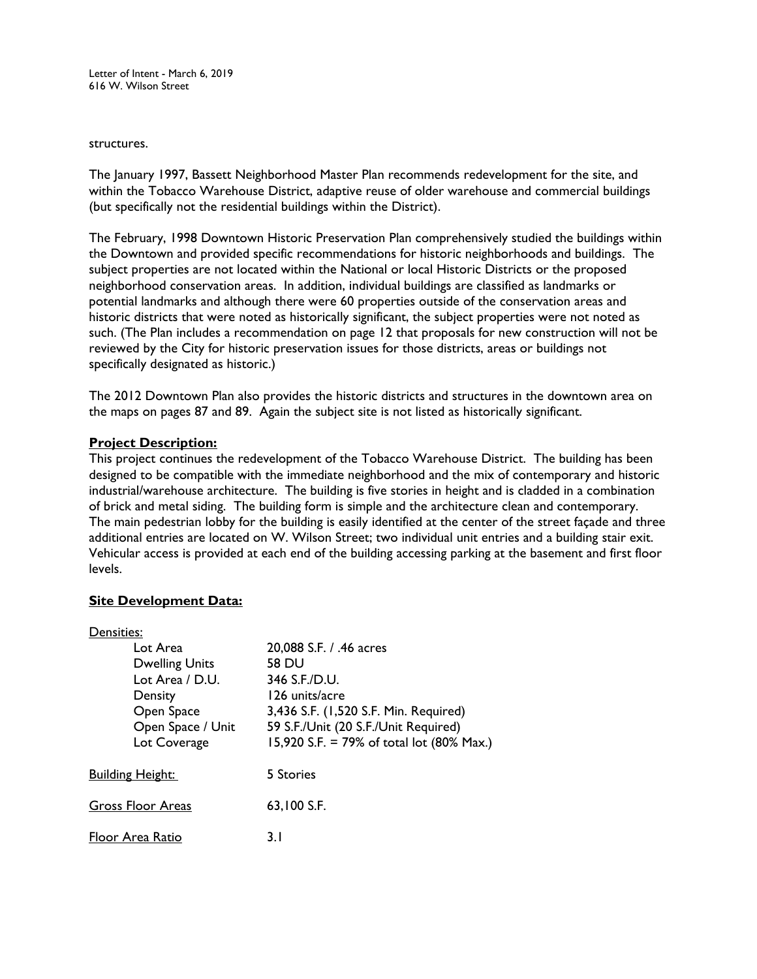Letter of Intent - March 6, 2019 616 W. Wilson Street

#### structures.

The January 1997, Bassett Neighborhood Master Plan recommends redevelopment for the site, and within the Tobacco Warehouse District, adaptive reuse of older warehouse and commercial buildings (but specifically not the residential buildings within the District).

The February, 1998 Downtown Historic Preservation Plan comprehensively studied the buildings within the Downtown and provided specific recommendations for historic neighborhoods and buildings. The subject properties are not located within the National or local Historic Districts or the proposed neighborhood conservation areas. In addition, individual buildings are classified as landmarks or potential landmarks and although there were 60 properties outside of the conservation areas and historic districts that were noted as historically significant, the subject properties were not noted as such. (The Plan includes a recommendation on page 12 that proposals for new construction will not be reviewed by the City for historic preservation issues for those districts, areas or buildings not specifically designated as historic.)

The 2012 Downtown Plan also provides the historic districts and structures in the downtown area on the maps on pages 87 and 89. Again the subject site is not listed as historically significant.

### **Project Description:**

This project continues the redevelopment of the Tobacco Warehouse District. The building has been designed to be compatible with the immediate neighborhood and the mix of contemporary and historic industrial/warehouse architecture. The building is five stories in height and is cladded in a combination of brick and metal siding. The building form is simple and the architecture clean and contemporary. The main pedestrian lobby for the building is easily identified at the center of the street façade and three additional entries are located on W. Wilson Street; two individual unit entries and a building stair exit. Vehicular access is provided at each end of the building accessing parking at the basement and first floor levels.

## **Site Development Data:**

| Densities:              |                       |                                           |
|-------------------------|-----------------------|-------------------------------------------|
|                         | Lot Area              | 20,088 S.F. / .46 acres                   |
|                         | <b>Dwelling Units</b> | 58 DU                                     |
|                         | Lot Area / D.U.       | 346 S.F./D.U.                             |
|                         | Density               | 126 units/acre                            |
|                         | Open Space            | 3,436 S.F. (1,520 S.F. Min. Required)     |
|                         | Open Space / Unit     | 59 S.F./Unit (20 S.F./Unit Required)      |
|                         | Lot Coverage          | 15,920 S.F. = 79% of total lot (80% Max.) |
| <b>Building Height:</b> |                       | 5 Stories                                 |
| Gross Floor Areas       |                       | 63,100 S.F.                               |
| Floor Area Ratio        |                       | 3. I                                      |